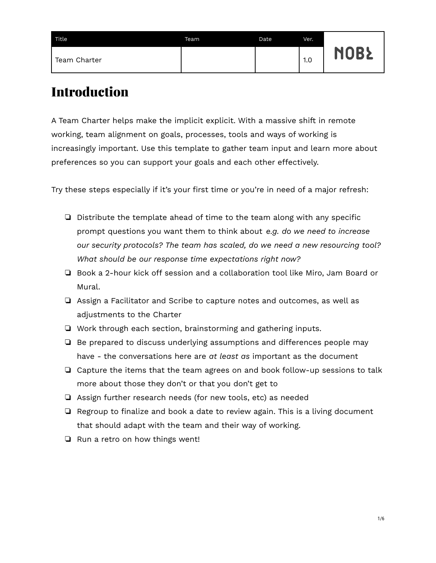| Title.       | Team | Date | Ver. |             |
|--------------|------|------|------|-------------|
| Team Charter |      |      | 1.0  | <b>NOBŁ</b> |

### Introduction

A Team Charter helps make the implicit explicit. With a massive shift in remote working, team alignment on goals, processes, tools and ways of working is increasingly important. Use this template to gather team input and learn more about preferences so you can support your goals and each other effectively.

Try these steps especially if it's your first time or you're in need of a major refresh:

- ❏ Distribute the template ahead of time to the team along with any specific prompt questions you want them to think about *e.g. do we need to increase our security protocols? The team has scaled, do we need a new resourcing tool? What should be our response time expectations right now?*
- ❏ Book a 2-hour kick off session and a collaboration tool like Miro, Jam Board or Mural.
- ❏ Assign a Facilitator and Scribe to capture notes and outcomes, as well as adjustments to the Charter
- ❏ Work through each section, brainstorming and gathering inputs.
- ❏ Be prepared to discuss underlying assumptions and differences people may have - the conversations here are *at least as* important as the document
- ❏ Capture the items that the team agrees on and book follow-up sessions to talk more about those they don't or that you don't get to
- ❏ Assign further research needs (for new tools, etc) as needed
- ❏ Regroup to finalize and book a date to review again. This is a living document that should adapt with the team and their way of working.
- ❏ Run a retro on how things went!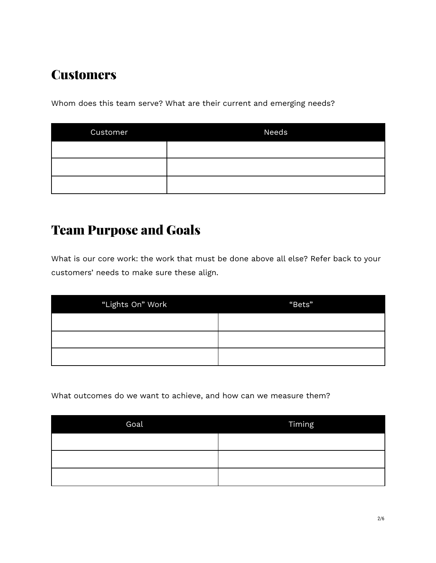## **Customers**

Whom does this team serve? What are their current and emerging needs?

| <b>Customer</b> | Needs |
|-----------------|-------|
|                 |       |
|                 |       |
|                 |       |

### Team Purpose and Goals

What is our core work: the work that must be done above all else? Refer back to your customers' needs to make sure these align.

| "Lights On" Work | "Bets" |
|------------------|--------|
|                  |        |
|                  |        |
|                  |        |

What outcomes do we want to achieve, and how can we measure them?

| Goal | Timing |
|------|--------|
|      |        |
|      |        |
|      |        |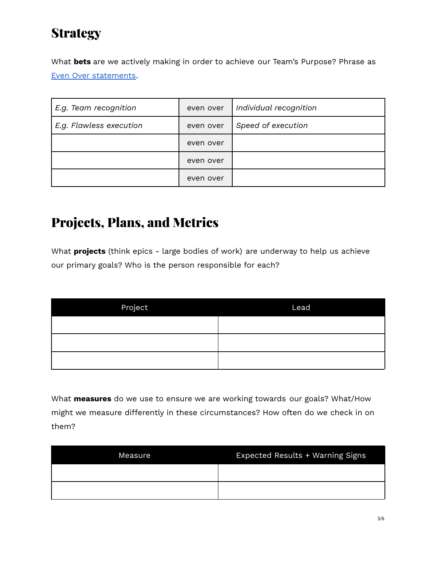## **Strategy**

What **bets** are we actively making in order to achieve our Team's Purpose? Phrase as Even Over [statements](https://academy.nobl.io/how-to-write-a-strategy-your-team-will-remember/).

| E.g. Team recognition   | even over | Individual recognition |
|-------------------------|-----------|------------------------|
| E.g. Flawless execution | even over | Speed of execution     |
|                         | even over |                        |
|                         | even over |                        |
|                         | even over |                        |

### Projects, Plans, and Metrics

What **projects** (think epics - large bodies of work) are underway to help us achieve our primary goals? Who is the person responsible for each?

| Project | Lead |
|---------|------|
|         |      |
|         |      |
|         |      |

What **measures** do we use to ensure we are working towards our goals? What/How might we measure differently in these circumstances? How often do we check in on them?

| Measure | Expected Results + Warning Signs |
|---------|----------------------------------|
|         |                                  |
|         |                                  |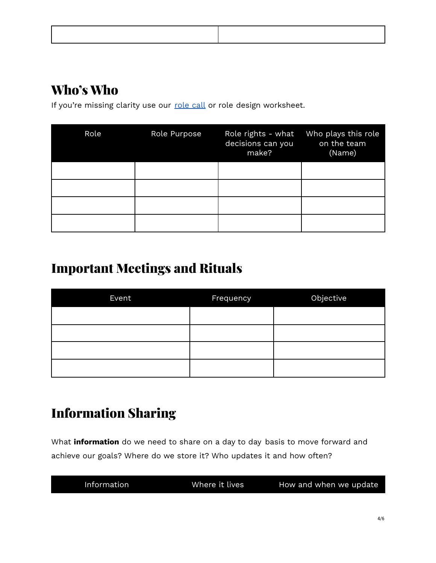## Who's Who

If you're missing clarity use our [role](https://medium.com/@FLOXworks/do-you-have-the-right-people-in-the-right-roles-273d03c3d527) call or role design worksheet.

| Role | Role Purpose | Role rights - what<br>decisions can you<br>make? | Who plays this role<br>on the team<br>(Name) |
|------|--------------|--------------------------------------------------|----------------------------------------------|
|      |              |                                                  |                                              |
|      |              |                                                  |                                              |
|      |              |                                                  |                                              |
|      |              |                                                  |                                              |

# Important Meetings and Rituals

| Event | <b>Frequency</b> | Objective |
|-------|------------------|-----------|
|       |                  |           |
|       |                  |           |
|       |                  |           |
|       |                  |           |

## Information Sharing

What **information** do we need to share on a day to day basis to move forward and achieve our goals? Where do we store it? Who updates it and how often?

| Information | Where it lives | How and when we update |
|-------------|----------------|------------------------|
|             |                |                        |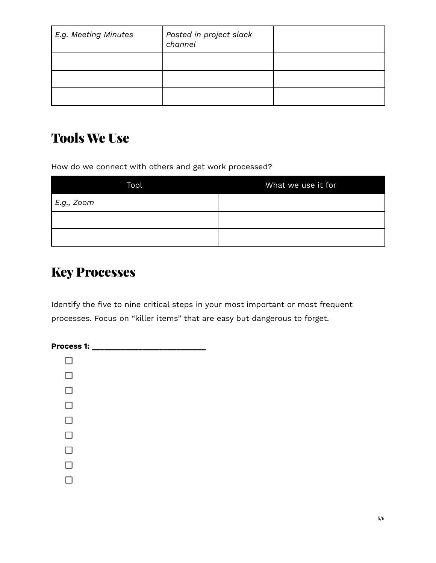| E.g. Meeting Minutes | Posted in project slack<br>channel |  |
|----------------------|------------------------------------|--|
|                      |                                    |  |
|                      |                                    |  |
|                      |                                    |  |

### Tools We Use

How do we connect with others and get work processed?

| Tool              | What we use it for |
|-------------------|--------------------|
| E.g., <i>Zoom</i> |                    |
|                   |                    |
|                   |                    |

### Key Processes

Identify the five to nine critical steps in your most important or most frequent processes. Focus on "killer items" that are easy but dangerous to forget.